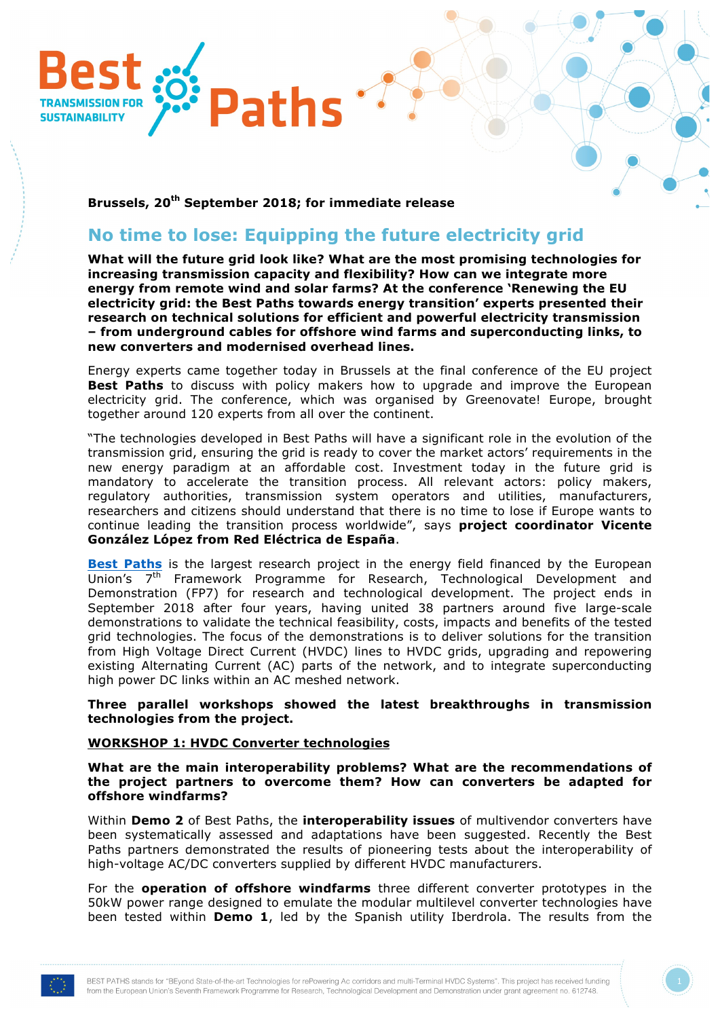

**Brussels, 20th September 2018; for immediate release**

# **No time to lose: Equipping the future electricity grid**

**What will the future grid look like? What are the most promising technologies for increasing transmission capacity and flexibility? How can we integrate more energy from remote wind and solar farms? At the conference 'Renewing the EU electricity grid: the Best Paths towards energy transition' experts presented their research on technical solutions for efficient and powerful electricity transmission – from underground cables for offshore wind farms and superconducting links, to new converters and modernised overhead lines.**

Energy experts came together today in Brussels at the final conference of the EU project **Best Paths** to discuss with policy makers how to upgrade and improve the European electricity grid. The conference, which was organised by Greenovate! Europe, brought together around 120 experts from all over the continent.

"The technologies developed in Best Paths will have a significant role in the evolution of the transmission grid, ensuring the grid is ready to cover the market actors' requirements in the new energy paradigm at an affordable cost. Investment today in the future grid is mandatory to accelerate the transition process. All relevant actors: policy makers, regulatory authorities, transmission system operators and utilities, manufacturers, researchers and citizens should understand that there is no time to lose if Europe wants to continue leading the transition process worldwide", says **project coordinator Vicente González López from Red Eléctrica de España**.

**[Best Paths](http://www.bestpaths-project.eu)** is the largest research project in the energy field financed by the European Union's 7<sup>th</sup> Framework Programme for Research, Technological Development and Demonstration (FP7) for research and technological development. The project ends in September 2018 after four years, having united 38 partners around five large-scale demonstrations to validate the technical feasibility, costs, impacts and benefits of the tested grid technologies. The focus of the demonstrations is to deliver solutions for the transition from High Voltage Direct Current (HVDC) lines to HVDC grids, upgrading and repowering existing Alternating Current (AC) parts of the network, and to integrate superconducting high power DC links within an AC meshed network.

**Three parallel workshops showed the latest breakthroughs in transmission technologies from the project.** 

## **WORKSHOP 1: HVDC Converter technologies**

**What are the main interoperability problems? What are the recommendations of the project partners to overcome them? How can converters be adapted for offshore windfarms?**

Within **Demo 2** of Best Paths, the **interoperability issues** of multivendor converters have been systematically assessed and adaptations have been suggested. Recently the Best Paths partners demonstrated the results of pioneering tests about the interoperability of high-voltage AC/DC converters supplied by different HVDC manufacturers.

For the **operation of offshore windfarms** three different converter prototypes in the 50kW power range designed to emulate the modular multilevel converter technologies have been tested within **Demo 1**, led by the Spanish utility Iberdrola. The results from the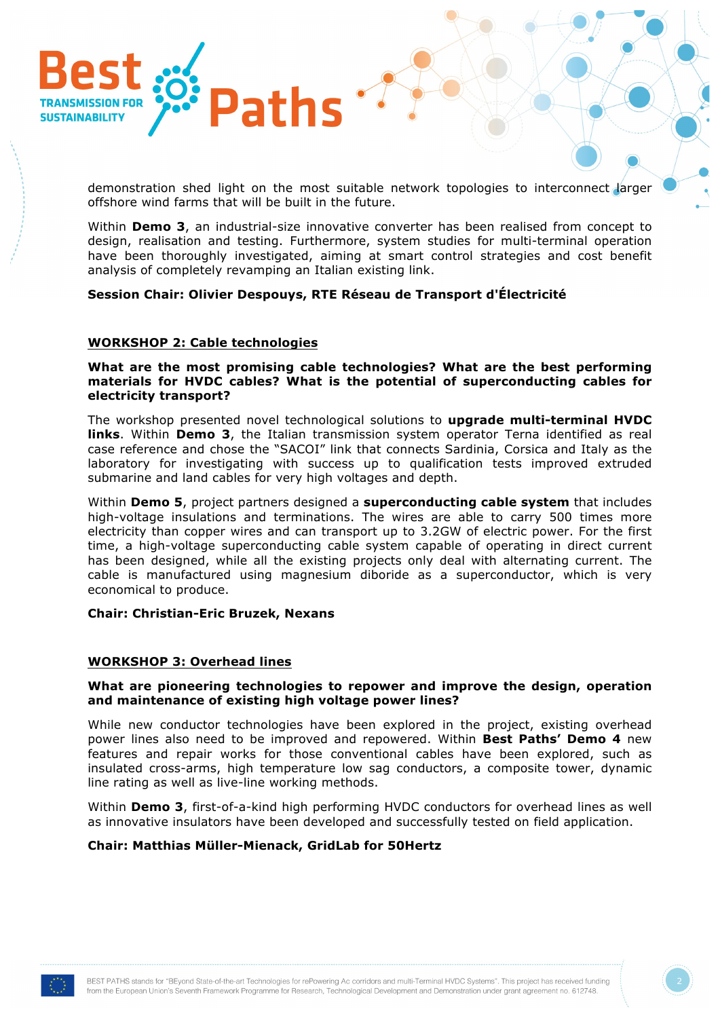

demonstration shed light on the most suitable network topologies to interconnect larger offshore wind farms that will be built in the future.

Within **Demo 3**, an industrial-size innovative converter has been realised from concept to design, realisation and testing. Furthermore, system studies for multi-terminal operation have been thoroughly investigated, aiming at smart control strategies and cost benefit analysis of completely revamping an Italian existing link.

## **Session Chair: Olivier Despouys, RTE Réseau de Transport d'Électricité**

## **WORKSHOP 2: Cable technologies**

**What are the most promising cable technologies? What are the best performing materials for HVDC cables? What is the potential of superconducting cables for electricity transport?** 

The workshop presented novel technological solutions to **upgrade multi-terminal HVDC links**. Within **Demo 3**, the Italian transmission system operator Terna identified as real case reference and chose the "SACOI" link that connects Sardinia, Corsica and Italy as the laboratory for investigating with success up to qualification tests improved extruded submarine and land cables for very high voltages and depth.

Within **Demo 5**, project partners designed a **superconducting cable system** that includes high-voltage insulations and terminations. The wires are able to carry 500 times more electricity than copper wires and can transport up to 3.2GW of electric power. For the first time, a high-voltage superconducting cable system capable of operating in direct current has been designed, while all the existing projects only deal with alternating current. The cable is manufactured using magnesium diboride as a superconductor, which is very economical to produce.

#### **Chair: Christian-Eric Bruzek, Nexans**

#### **WORKSHOP 3: Overhead lines**

### **What are pioneering technologies to repower and improve the design, operation and maintenance of existing high voltage power lines?**

While new conductor technologies have been explored in the project, existing overhead power lines also need to be improved and repowered. Within **Best Paths' Demo 4** new features and repair works for those conventional cables have been explored, such as insulated cross-arms, high temperature low sag conductors, a composite tower, dynamic line rating as well as live-line working methods.

Within **Demo 3**, first-of-a-kind high performing HVDC conductors for overhead lines as well as innovative insulators have been developed and successfully tested on field application.

#### **Chair: Matthias Müller-Mienack, GridLab for 50Hertz**